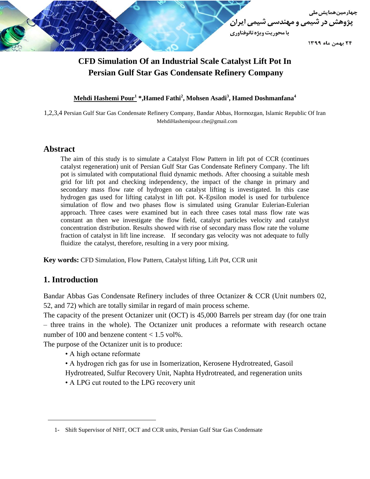

# **CFD Simulation Of an Industrial Scale Catalyst Lift Pot In Persian Gulf Star Gas Condensate Refinery Company**

### **Mehdi Hashemi Pour<sup>1</sup> \*,Hamed Fathi<sup>2</sup> , Mohsen Asadi<sup>3</sup> , Hamed Doshmanfana<sup>4</sup>**

1,2,3,4 Persian Gulf Star Gas Condensate Refinery Company, Bandar Abbas, Hormozgan, Islamic Republic Of Iran MehdiHashemipour.che@gmail.com

#### **Abstract**

The aim of this study is to simulate a Catalyst Flow Pattern in lift pot of CCR (continues catalyst regeneration) unit of Persian Gulf Star Gas Condensate Refinery Company. The lift pot is simulated with computational fluid dynamic methods. After choosing a suitable mesh grid for lift pot and checking independency, the impact of the change in primary and secondary mass flow rate of hydrogen on catalyst lifting is investigated. In this case hydrogen gas used for lifting catalyst in lift pot. K-Epsilon model is used for turbulence simulation of flow and two phases flow is simulated using Granular Eulerian-Eulerian approach. Three cases were examined but in each three cases total mass flow rate was constant an then we investigate the flow field, catalyst particles velocity and catalyst concentration distribution. Results showed with rise of secondary mass flow rate the volume fraction of catalyst in lift line increase. If secondary gas velocity was not adequate to fully fluidize the catalyst, therefore, resulting in a very poor mixing.

**Key words:** CFD Simulation, Flow Pattern, Catalyst lifting, Lift Pot, CCR unit

# **1. Introduction**

Bandar Abbas Gas Condensate Refinery includes of three Octanizer & CCR (Unit numbers 02, 52, and 72) which are totally similar in regard of main process scheme.

The capacity of the present Octanizer unit (OCT) is 45,000 Barrels per stream day (for one train – three trains in the whole). The Octanizer unit produces a reformate with research octane number of 100 and benzene content  $< 1.5$  vol%.

The purpose of the Octanizer unit is to produce:

- A high octane reformate
- A hydrogen rich gas for use in Isomerization, Kerosene Hydrotreated, Gasoil
- Hydrotreated, Sulfur Recovery Unit, Naphta Hydrotreated, and regeneration units
- A LPG cut routed to the LPG recovery unit

<sup>1-</sup> Shift Supervisor of NHT, OCT and CCR units, Persian Gulf Star Gas Condensate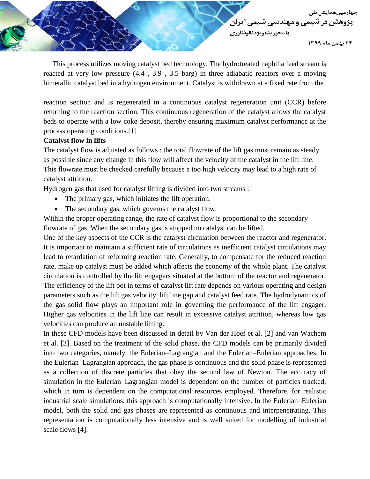**جهارمین همایش ملی** یژوهش در شیمی و مهندس*ی* شیم*ی* ایران با محوريت ويژه نانوفناوري

۲۴ بهمن ماه ۱۳۹۹

 This process utilizes moving catalyst bed technology. The hydrotreated naphtha feed stream is reacted at very low pressure (4.4 , 3.9 , 3.5 barg) in three adiabatic reactors over a moving bimetallic catalyst bed in a hydrogen environment. Catalyst is withdrawn at a fixed rate from the

reaction section and is regenerated in a continuous catalyst regeneration unit (CCR) before returning to the reaction section. This continuous regeneration of the catalyst allows the catalyst beds to operate with a low coke deposit, thereby ensuring maximum catalyst performance at the process operating conditions.[1]

#### **Catalyst flow in lifts**

The catalyst flow is adjusted as follows : the total flowrate of the lift gas must remain as steady as possible since any change in this flow will affect the velocity of the catalyst in the lift line. This flowrate must be checked carefully because a too high velocity may lead to a high rate of catalyst attrition.

Hydrogen gas that used for catalyst lifting is divided into two streams :

- The primary gas, which initiates the lift operation.
- The secondary gas, which governs the catalyst flow.

Within the proper operating range, the rate of catalyst flow is proportional to the secondary flowrate of gas. When the secondary gas is stopped no catalyst can be lifted.

One of the key aspects of the CCR is the catalyst circulation between the reactor and regenerator. It is important to maintain a sufficient rate of circulations as inefficient catalyst circulations may lead to retardation of reforming reaction rate. Generally, to compensate for the reduced reaction rate, make up catalyst must be added which affects the economy of the whole plant. The catalyst circulation is controlled by the lift engagers situated at the bottom of the reactor and regenerator. The efficiency of the lift pot in terms of catalyst lift rate depends on various operating and design parameters such as the lift gas velocity, lift line gap and catalyst feed rate. The hydrodynamics of the gas solid flow plays an important role in governing the performance of the lift engager. Higher gas velocities in the lift line can result in excessive catalyst attrition, whereas low gas velocities can produce an unstable lifting.

In these CFD models have been discussed in detail by Van der Hoef et al. [2] and van Wachem et al. [3]. Based on the treatment of the solid phase, the CFD models can be primarily divided into two categories, namely, the Eulerian–Lagrangian and the Eulerian–Eulerian approaches. In the Eulerian–Lagrangian approach, the gas phase is continuous and the solid phase is represented as a collection of discrete particles that obey the second law of Newton. The accuracy of simulation in the Eulerian–Lagrangian model is dependent on the number of particles tracked, which in turn is dependent on the computational resources employed. Therefore, for realistic industrial scale simulations, this approach is computationally intensive. In the Eulerian–Eulerian model, both the solid and gas phases are represented as continuous and interpenetrating. This representation is computationally less intensive and is well suited for modelling of industrial scale flows [4].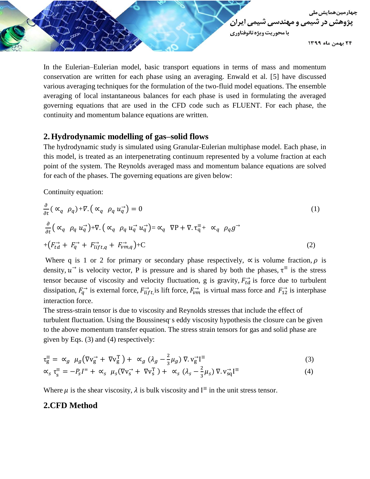

In the Eulerian–Eulerian model, basic transport equations in terms of mass and momentum conservation are written for each phase using an averaging. Enwald et al. [5] have discussed various averaging techniques for the formulation of the two-fluid model equations. The ensemble averaging of local instantaneous balances for each phase is used in formulating the averaged governing equations that are used in the CFD code such as FLUENT. For each phase, the continuity and momentum balance equations are written.

# **2.Hydrodynamic modelling of gas–solid flows**

The hydrodynamic study is simulated using Granular-Eulerian multiphase model. Each phase, in this model, is treated as an interpenetrating continuum represented by a volume fraction at each point of the system. The Reynolds averaged mass and momentum balance equations are solved for each of the phases. The governing equations are given below:

Continuity equation:

$$
\frac{\partial}{\partial t} \left( \alpha_q \rho_q \right) + \nabla \left( \alpha_q \rho_q u_q^{\dagger} \right) = 0 \tag{1}
$$
\n
$$
\frac{\partial}{\partial t} \left( \alpha_q \rho_q u_q^{\dagger} \right) + \nabla \left( \alpha_q \rho_q u_q^{\dagger} u_q^{\dagger} \right) = \alpha_q \nabla P + \nabla \cdot \mathbf{t}_q^{\dagger} + \alpha_q \rho_q g^{\dagger}
$$
\n
$$
+ \left( F_{td}^{\dagger} + F_{q}^{\dagger} + F_{lift,q}^{\dagger} + F_{vm,q}^{\dagger} \right) + \mathbf{C} \tag{2}
$$

Where q is 1 or 2 for primary or secondary phase respectively,  $\alpha$  is volume fraction,  $\rho$  is density,  $u^{\rightarrow}$  is velocity vector, P is pressure and is shared by both the phases,  $\tau^{\equiv}$  is the stress tensor because of viscosity and velocity fluctuation, g is gravity,  $F_{td}^{\rightarrow}$  is force due to turbulent dissipation,  $F_q^{\rightarrow}$  is external force,  $F_{lift}^{\rightarrow}$  is lift force,  $F_{vm}^{\rightarrow}$  is virtual mass force and  $F_{12}^{\rightarrow}$  is interphase interaction force.

The stress-strain tensor is due to viscosity and Reynolds stresses that include the effect of turbulent fluctuation. Using the Boussinesq's eddy viscosity hypothesis the closure can be given to the above momentum transfer equation. The stress strain tensors for gas and solid phase are given by Eqs. (3) and (4) respectively:

$$
\tau_{g}^{\equiv} = \alpha_g \mu_g \left( \nabla v_{g}^{\rightarrow} + \nabla v_{g}^{\text{T}} \right) + \alpha_g \left( \lambda_g - \frac{2}{3} \mu_g \right) \nabla \cdot v_{g}^{\rightarrow} I^{\equiv} \tag{3}
$$

$$
\alpha_s \tau_s^{\equiv} = -P_s I^{\equiv} + \alpha_s \mu_s (\nabla v_s^{\rightarrow} + \nabla v_s^{\rm T}) + \alpha_s (\lambda_s - \frac{2}{3} \mu_s) \nabla . v_{sq}^{\rightarrow} I^{\equiv}
$$
(4)

Where  $\mu$  is the shear viscosity,  $\lambda$  is bulk viscosity and I<sup> $\equiv$ </sup> in the unit stress tensor.

# **2.CFD Method**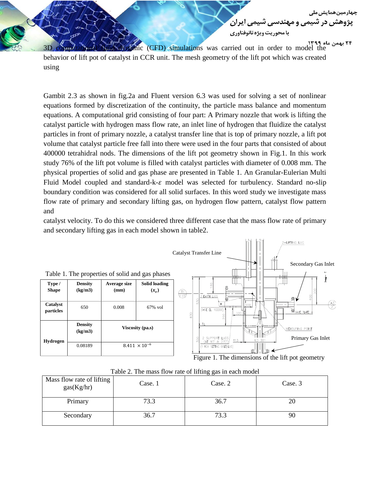<u>جہار میں ھمایشی ملی</u>

3D computational fluid dynamic (CFD) simulations was carried out in order to model the behavior of lift pot of catalyst in CCR unit. The mesh geometry of the lift pot which was created using

Gambit 2.3 as shown in fig.2a and Fluent version 6.3 was used for solving a set of nonlinear equations formed by discretization of the continuity, the particle mass balance and momentum equations. A computational grid consisting of four part: A Primary nozzle that work is lifting the catalyst particle with hydrogen mass flow rate, an inlet line of hydrogen that fluidize the catalyst particles in front of primary nozzle, a catalyst transfer line that is top of primary nozzle, a lift pot volume that catalyst particle free fall into there were used in the four parts that consisted of about 400000 tetrahidral nods. The dimensions of the lift pot geometry shown in Fig.1. In this work study 76% of the lift pot volume is filled with catalyst particles with diameter of 0.008 mm. The physical properties of solid and gas phase are presented in Table 1. An Granular-Eulerian Multi Fluid Model coupled and standard-k- $\varepsilon$  model was selected for turbulency. Standard no-slip boundary condition was considered for all solid surfaces. In this word study we investigate mass flow rate of primary and secondary lifting gas, on hydrogen flow pattern, catalyst flow pattern and

catalyst velocity. To do this we considered three different case that the mass flow rate of primary and secondary lifting gas in each model shown in table2.



| Table 2. The mass flow rate of lifting gas in each model |         |         |         |
|----------------------------------------------------------|---------|---------|---------|
| Mass flow rate of lifting<br>gas(Kg/hr)                  | Case. 1 | Case. 2 | Case. 3 |
| Primary                                                  | 73.3    | 36.7    | 20      |
| Secondary                                                | 36.7    | 73.3    |         |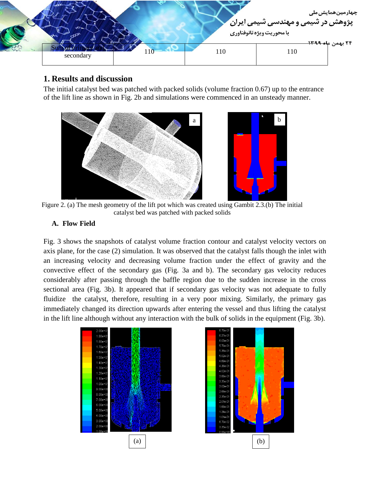

# **1. Results and discussion**

The initial catalyst bed was patched with packed solids (volume fraction 0.67) up to the entrance of the lift line as shown in Fig. 2b and simulations were commenced in an unsteady manner.





Figure 2. (a) The mesh geometry of the lift pot which was created using Gambit 2.3.(b) The initial catalyst bed was patched with packed solids

### **A. Flow Field**

Fig. 3 shows the snapshots of catalyst volume fraction contour and catalyst velocity vectors on axis plane, for the case (2) simulation. It was observed that the catalyst falls though the inlet with an increasing velocity and decreasing volume fraction under the effect of gravity and the convective effect of the secondary gas (Fig. 3a and b). The secondary gas velocity reduces considerably after passing through the baffle region due to the sudden increase in the cross sectional area (Fig. 3b). It appeared that if secondary gas velocity was not adequate to fully fluidize the catalyst, therefore, resulting in a very poor mixing. Similarly, the primary gas immediately changed its direction upwards after entering the vessel and thus lifting the catalyst in the lift line although without any interaction with the bulk of solids in the equipment (Fig. 3b).



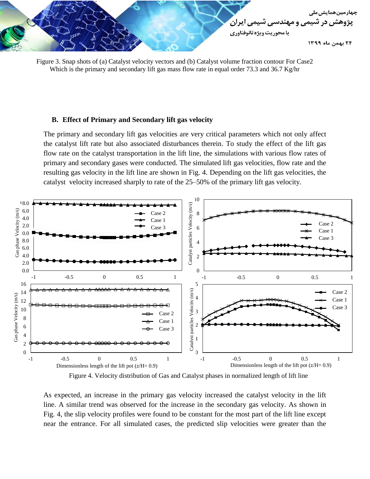



#### **B. Effect of Primary and Secondary lift gas velocity**

The primary and secondary lift gas velocities are very critical parameters which not only affect the catalyst lift rate but also associated disturbances therein. To study the effect of the lift gas flow rate on the catalyst transportation in the lift line, the simulations with various flow rates of primary and secondary gases were conducted. The simulated lift gas velocities, flow rate and the resulting gas velocity in the lift line are shown in Fig. 4. Depending on the lift gas velocities, the catalyst velocity increased sharply to rate of the 25–50% of the primary lift gas velocity.



Figure 4. Velocity distribution of Gas and Catalyst phases in normalized length of lift line

As expected, an increase in the primary gas velocity increased the catalyst velocity in the lift line. A similar trend was observed for the increase in the secondary gas velocity. As shown in Fig. 4, the slip velocity profiles were found to be constant for the most part of the lift line except near the entrance. For all simulated cases, the predicted slip velocities were greater than the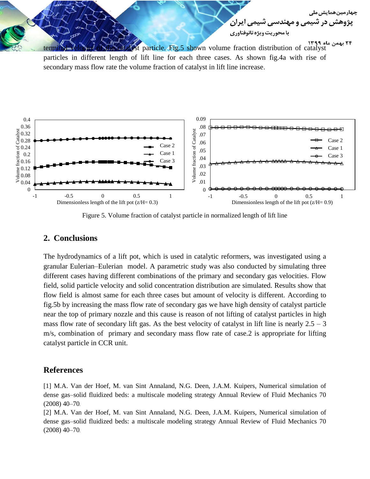

particles in different length of lift line for each three cases. As shown fig.4a with rise of secondary mass flow rate the volume fraction of catalyst in lift line increase.



Figure 5. Volume fraction of catalyst particle in normalized length of lift line

#### **2. Conclusions**

The hydrodynamics of a lift pot, which is used in catalytic reformers, was investigated using a granular Eulerian–Eulerian model. A parametric study was also conducted by simulating three different cases having different combinations of the primary and secondary gas velocities. Flow field, solid particle velocity and solid concentration distribution are simulated. Results show that flow field is almost same for each three cases but amount of velocity is different. According to fig.5b by increasing the mass flow rate of secondary gas we have high density of catalyst particle near the top of primary nozzle and this cause is reason of not lifting of catalyst particles in high mass flow rate of secondary lift gas. As the best velocity of catalyst in lift line is nearly  $2.5 - 3$ m/s, combination of primary and secondary mass flow rate of case.2 is appropriate for lifting catalyst particle in CCR unit.

# **References**

[1] M.A. Van der Hoef, M. van Sint Annaland, N.G. Deen, J.A.M. Kuipers, Numerical simulation of dense gas–solid fluidized beds: a multiscale modeling strategy Annual Review of Fluid Mechanics 70 (2008) 40–70.

[2] M.A. Van der Hoef, M. van Sint Annaland, N.G. Deen, J.A.M. Kuipers, Numerical simulation of dense gas–solid fluidized beds: a multiscale modeling strategy Annual Review of Fluid Mechanics 70 (2008) 40–70.